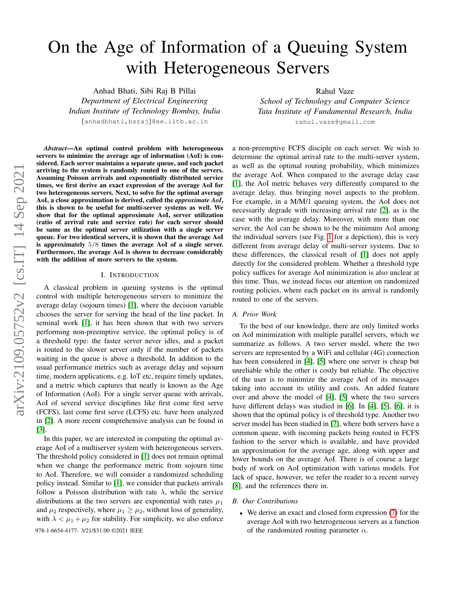# On the Age of Information of a Queuing System with Heterogeneous Servers

Anhad Bhati, Sibi Raj B Pillai *Department of Electrical Engineering Indian Institute of Technology Bombay, India* {anhadbhati,bsraj}@ee.iitb.ac.in

*Abstract*—An optimal control problem with heterogeneous servers to minimize the average age of information (AoI) is considered. Each server maintains a separate queue, and each packet arriving to the system is randomly routed to one of the servers. Assuming Poisson arrivals and exponentially distributed service times, we first derive an exact expression of the average AoI for two heterogeneous servers. Next, to solve for the optimal average AoI, a close approximation is derived, called the *approximate AoI*, this is shown to be useful for multi-server systems as well. We show that for the optimal approximate AoI, server utilization (ratio of arrival rate and service rate) for each server should be same as the optimal server utilization with a single server queue. For two identical servers, it is shown that the average AoI is approximately 5/8 times the average AoI of a single server. Furthermore, the average AoI is shown to decrease considerably with the addition of more servers to the system.

#### I. INTRODUCTION

A classical problem in queuing systems is the optimal control with multiple heterogeneous servers to minimize the average delay (sojourn times) [\[1\]](#page-4-0), where the decision variable chooses the server for serving the head of the line packet. In seminal work [\[1\]](#page-4-0), it has been shown that with two servers performing non-preemptive service, the optimal policy is of a threshold type: the faster server never idles, and a packet is routed to the slower server only if the number of packets waiting in the queue is above a threshold. In addition to the usual performance metrics such as average delay and sojourn time, modern applications, e.g. IoT etc, require timely updates, and a metric which captures that neatly is known as the Age of Information (AoI). For a single server queue with arrivals, AoI of several service disciplines like first come first serve (FCFS), last come first serve (LCFS) etc. have been analyzed in [\[2\]](#page-4-1). A more recent comprehensive analysis can be found in [\[3\]](#page-4-2).

In this paper, we are interested in computing the optimal average AoI of a multiserver system with heterogeneous servers. The threshold policy considered in [\[1\]](#page-4-0) does not remain optimal when we change the performance metric from sojourn time to AoI. Therefore, we will consider a randomized scheduling policy instead. Similar to [\[1\]](#page-4-0), we consider that packets arrivals follow a Poisson distribution with rate  $\lambda$ , while the service distributions at the two servers are exponential with rates  $\mu_1$ and  $\mu_2$  respectively, where  $\mu_1 \geq \mu_2$ , without loss of generality, with  $\lambda < \mu_1 + \mu_2$  for stability. For simplicity, we also enforce 978-1-6654-4177- 3/21/\$31.00 ©2021 IEEE of the randomized routing parameter  $\alpha$ .

Rahul Vaze

*School of Technology and Computer Science Tata Institute of Fundamental Research, India* rahul.vaze@gmail.com

a non-preemptive FCFS disciple on each server. We wish to determine the optimal arrival rate to the multi-server system, as well as the optimal routing probability, which minimizes the average AoI. When compared to the average delay case [\[1\]](#page-4-0), the AoI metric behaves very differently compared to the average delay, thus bringing novel aspects to the problem. For example, in a M/M/1 queuing system, the AoI does not necessarily degrade with increasing arrival rate [\[2\]](#page-4-1), as is the case with the average delay. Moreover, with more than one server, the AoI can be shown to be the minimum AoI among the individual servers (see Fig. [1](#page-1-0) for a depiction), this is very different from average delay of multi-server systems. Due to these differences, the classical result of [\[1\]](#page-4-0) does not apply directly for the considered problem. Whether a threshold type policy suffices for average AoI minimization is also unclear at this time. Thus, we instead focus our attention on randomized routing policies, where each packet on its arrival is randomly routed to one of the servers.

#### *A. Prior Work*

To the best of our knowledge, there are only limited works on AoI minimization with multiple parallel servers, which we summarize as follows. A two server model, where the two servers are represented by a WiFi and cellular (4G) connection has been considered in [\[4\]](#page-4-3), [\[5\]](#page-4-4) where one server is cheap but unreliable while the other is costly but reliable. The objective of the user is to minimize the average AoI of its messages taking into account its utility and costs. An added feature over and above the model of [\[4\]](#page-4-3), [\[5\]](#page-4-4) where the two servers have different delays was studied in [\[6\]](#page-4-5). In [\[4\]](#page-4-3), [\[5\]](#page-4-4), [6], it is shown that the optimal policy is of threshold type. Another two server model has been studied in [\[7\]](#page-4-6), where both servers have a common queue, with incoming packets being routed in FCFS fashion to the server which is available, and have provided an approximation for the average age, along with upper and lower bounds on the average AoI. There is of course a large body of work on AoI optimization with various models. For lack of space, however, we refer the reader to a recent survey [\[8\]](#page-4-7), and the references there in.

#### *B. Our Contributions*

• We derive an exact and closed form expression [\(7\)](#page-2-0) for the average AoI with two heterogeneous servers as a function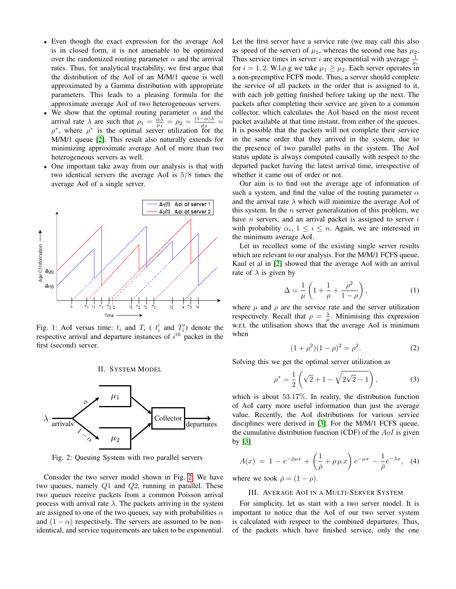- Even though the exact expression for the average AoI is in closed form, it is not amenable to be optimized over the randomized routing parameter  $\alpha$  and the arrrival rates. Thus, for analytical tractability, we first argue that the distribution of the AoI of an M/M/1 queue is well approximated by a Gamma distribution with appropriate parameters. This leads to a pleasing formula for the approximate average AoI of two heterogeneous servers.
- We show that the optimal routing parameter  $\alpha$  and the arrival rate  $\lambda$  are such that  $\rho_1 = \frac{\alpha \lambda}{\mu_1} = \rho_2 = \frac{(1-\alpha)\lambda}{\mu_2}$  $\frac{(-\alpha)\lambda}{\mu_2}$  =  $\rho^*$ , where  $\rho^*$  is the optimal server utilization for the M/M/1 queue [\[2\]](#page-4-1). This result also naturally extends for minimizing approximate average AoI of more than two heterogeneous servers as well.
- One important take away from our analysis is that with two identical servers the average AoI is 5/8 times the average AoI of a single server.

<span id="page-1-0"></span>

Fig. 1: AoI versus time:  $t_i$  and  $T_i$  (  $t'_i$  and  $T'_i$ ) denote the respective arrival and departure instances of  $i^{th}$  packet in the first (second) server.

#### II. SYSTEM MODEL

<span id="page-1-1"></span>

Fig. 2: Queuing System with two parallel servers

Consider the two server model shown in Fig. [2.](#page-1-1) We have two queues, namely Q1 and Q2, running in parallel. These two queues receive packets from a common Poisson arrival process with arrival rate  $\lambda$ . The packets arriving in the system are assigned to one of the two queues, say with probabilities  $\alpha$ and  $(1 - \alpha)$  respectively. The servers are assumed to be nonidentical, and service requirements are taken to be exponential. Let the first server have a service rate (we may call this also as speed of the server) of  $\mu_1$ , whereas the second one has  $\mu_2$ . Thus service times in server i are exponential with average  $\frac{1}{\mu_i}$ for  $i = 1, 2$ . W.l.o.g we take  $\mu_1 \geq \mu_2$ . Each server operates in a non-preemptive FCFS mode. Thus, a server should complete the service of all packets in the order that is assigned to it, with each job getting finished before taking up the next. The packets after completing their service are given to a common collector, which calculates the AoI based on the most recent packet available at that time instant, from either of the queues. It is possible that the packets will not complete their service in the same order that they arrived in the system, due to the presence of two parallel paths in the system. The AoI status update is always computed causally with respect to the departed packet having the latest arrival time, irrespective of whether it came out of order or not.

Our aim is to find out the average age of information of such a system, and find the value of the routing parameter  $\alpha$ and the arrival rate  $\lambda$  which will minimize the average AoI of this system. In the  $n$  server generalization of this problem, we have  $n$  servers, and an arrival packet is assigned to server  $i$ with probability  $\alpha_i$ ,  $1 \leq i \leq n$ . Again, we are interested in the minimum average AoI.

Let us recollect some of the existing single server results which are relevant to our analysis. For the M/M/1 FCFS queue, Kaul et al in [\[2\]](#page-4-1) showed that the average AoI with an arrival rate of  $\lambda$  is given by

$$
\Delta = \frac{1}{\mu} \left( 1 + \frac{1}{\rho} + \frac{\rho^2}{1 - \rho} \right),\tag{1}
$$

where  $\mu$  and  $\rho$  are the service rate and the server utilization respectively. Recall that  $\rho = \frac{\lambda}{\mu}$ . Minimising this expression w.r.t. the utilisation shows that the average AoI is minimum when

<span id="page-1-3"></span>
$$
(1 + \rho^2)(1 - \rho)^2 = \rho^2.
$$
 (2)

Solving this we get the optimal server utilization as

<span id="page-1-2"></span>
$$
\rho^* = \frac{1}{2} \left( \sqrt{2} + 1 - \sqrt{2\sqrt{2} - 1} \right), \tag{3}
$$

which is about 53.17%. In reality, the distribution function of AoI carry more useful information than just the average value. Recently, the AoI distributions for various service disciplines were derived in [\[3\]](#page-4-2). For the M/M/1 FCFS queue, the cumulative distribution function (CDF) of the  $AoI$  is given by [\[3\]](#page-4-2)

$$
A(x) = 1 - e^{-\bar{\rho}\mu x} + \left(\frac{1}{\bar{\rho}} + \rho \mu x\right) e^{-\mu x} - \frac{1}{\bar{\rho}} e^{-\lambda x}, \quad (4)
$$

where we took  $\bar{\rho} = (1 - \rho)$ .

#### III. AVERAGE AOI IN A MULTI-SERVER SYSTEM

For simplicity, let us start with a two server model. It is important to notice that the AoI of our two server system is calculated with respect to the combined departures. Thus, of the packets which have finished service, only the one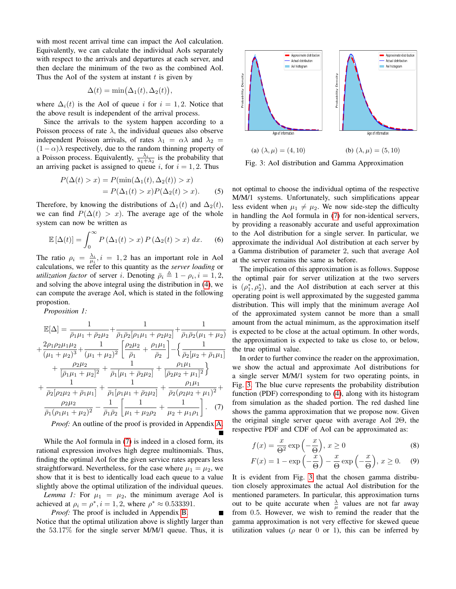with most recent arrival time can impact the AoI calculation. Equivalently, we can calculate the individual AoIs separately with respect to the arrivals and departures at each server, and then declare the minimum of the two as the combined AoI. Thus the AoI of the system at instant  $t$  is given by

$$
\Delta(t) = \min(\Delta_1(t), \Delta_2(t)),
$$

where  $\Delta_i(t)$  is the AoI of queue i for  $i = 1, 2$ . Notice that the above result is independent of the arrival process.

Since the arrivals to the system happen according to a Poisson process of rate  $\lambda$ , the individual queues also observe independent Poisson arrivals, of rates  $\lambda_1 = \alpha \lambda$  and  $\lambda_2 =$  $(1 - \alpha)\lambda$  respectively, due to the random thinning property of a Poisson process. Equivalently,  $\frac{\lambda_i}{\lambda_1 + \lambda_2}$  is the probability that an arriving packet is assigned to queue i, for  $i = 1, 2$ . Thus

$$
P(\Delta(t) > x) = P(\min(\Delta_1(t), \Delta_2(t)) > x)
$$
  
= 
$$
P(\Delta_1(t) > x)P(\Delta_2(t) > x).
$$
 (5)

Therefore, by knowing the distributions of  $\Delta_1(t)$  and  $\Delta_2(t)$ , we can find  $P(\Delta(t) > x)$ . The average age of the whole system can now be written as

$$
\mathbb{E}\left[\Delta(t)\right] = \int_0^\infty P\left(\Delta_1(t) > x\right) P\left(\Delta_2(t) > x\right) \, dx. \tag{6}
$$

The ratio  $\rho_i = \frac{\lambda_i}{\mu_i}$ ,  $i = 1, 2$  has an important role in AoI calculations, we refer to this quantity as the *server loading* or *utilization factor* of server *i*. Denoting  $\bar{\rho}_i \triangleq 1 - \rho_i$ ,  $i = 1, 2$ , and solving the above integral using the distribution in [\(4\)](#page-1-2), we can compute the average AoI, which is stated in the following propostion.

*Proposition 1:*

$$
\mathbb{E}[\Delta] = \frac{1}{\bar{\rho}_1 \mu_1 + \bar{\rho}_2 \mu_2} + \frac{1}{\bar{\rho}_1 \bar{\rho}_2 [\rho_1 \mu_1 + \rho_2 \mu_2]} + \frac{1}{\bar{\rho}_1 \bar{\rho}_2 (\mu_1 + \mu_2)} \n+ \frac{2\rho_1 \rho_2 \mu_1 \mu_2}{(\mu_1 + \mu_2)^3} + \frac{1}{(\mu_1 + \mu_2)^2} \left[ \frac{\rho_2 \mu_2}{\bar{\rho}_1} + \frac{\rho_1 \mu_1}{\bar{\rho}_2} \right] - \left\{ \frac{1}{\bar{\rho}_2 [\mu_2 + \bar{\rho}_1 \mu_1]} + \frac{\rho_2 \mu_2}{[\bar{\rho}_1 \mu_1 + \mu_2]^2} + \frac{1}{\bar{\rho}_1 [\mu_1 + \bar{\rho}_2 \mu_2]} + \frac{\rho_1 \mu_1}{[\bar{\rho}_2 \mu_2 + \mu_1]^2} \right\} \n+ \frac{1}{\bar{\rho}_2 [\rho_2 \mu_2 + \bar{\rho}_1 \mu_1]} + \frac{1}{\bar{\rho}_1 [\rho_1 \mu_1 + \bar{\rho}_2 \mu_2]} + \frac{\rho_1 \mu_1}{\bar{\rho}_2 (\rho_2 \mu_2 + \mu_1)^2} + \frac{\rho_2 \mu_2}{\bar{\rho}_1 (\rho_1 \mu_1 + \mu_2)^2} - \frac{1}{\bar{\rho}_1 \bar{\rho}_2} \left[ \frac{1}{\mu_1 + \mu_2 \rho_2} + \frac{1}{\mu_2 + \mu_1 \rho_1} \right]. \tag{7}
$$

*Proof:* An outline of the proof is provided in Appendix [A.](#page-4-8)

While the AoI formula in [\(7\)](#page-2-0) is indeed in a closed form, its rational expression involves high degree multinomials. Thus, finding the optimal AoI for the given service rates appears less straightforward. Nevertheless, for the case where  $\mu_1 = \mu_2$ , we show that it is best to identically load each queue to a value slightly above the optimal utilization of the individual queues.

*Lemma 1:* For  $\mu_1 = \mu_2$ , the minimum average AoI is achieved at  $\rho_i = \rho^*, i = 1, 2$ , where  $\rho^* \approx 0.533391$ .

*Proof:* The proof is included in Appendix [B.](#page-5-0) Notice that the optimal utilization above is slightly larger than the 53.17% for the single server M/M/1 queue. Thus, it is

<span id="page-2-1"></span>

Fig. 3: AoI distribution and Gamma Approximation

not optimal to choose the individual optima of the respective M/M/1 systems. Unfortunately, such simplifications appear less evident when  $\mu_1 \neq \mu_2$ . We now side-step the difficulty in handling the AoI formula in [\(7\)](#page-2-0) for non-identical servers, by providing a reasonably accurate and useful approximation to the AoI distribution for a single server. In particular, we approximate the individual AoI distribution at each server by a Gamma distribution of parameter 2, such that average AoI at the server remains the same as before.

<span id="page-2-3"></span>The implication of this approximation is as follows. Suppose the optimal pair for server utilization at the two servers is  $(\rho_1^*, \rho_2^*)$ , and the AoI distribution at each server at this operating point is well approximated by the suggested gamma distribution. This will imply that the minimum average AoI of the approximated system cannot be more than a small amount from the actual minimum, as the approximation itself is expected to be close at the actual optimum. In other words, the approximation is expected to take us close to, or below, the true optimal value.

<span id="page-2-0"></span>In order to further convince the reader on the approximation, we show the actual and approximate AoI distributions for a single server M/M/1 system for two operating points, in Fig. [3.](#page-2-1) The blue curve represents the probability distribution function (PDF) corresponding to [\(4\)](#page-1-2), along with its histogram from simulation as the shaded portion. The red dashed line shows the gamma approximation that we propose now. Given the original single server queue with average AoI 2Θ, the respective PDF and CDF of AoI can be approximated as:

<span id="page-2-2"></span>
$$
f(x) = \frac{x}{\Theta^2} \exp\left(-\frac{x}{\Theta}\right), x \ge 0
$$
 (8)

$$
F(x) = 1 - \exp\left(-\frac{x}{\Theta}\right) - \frac{x}{\Theta}\exp\left(-\frac{x}{\Theta}\right), x \ge 0. \quad (9)
$$

<span id="page-2-4"></span>It is evident from Fig. [3](#page-2-1) that the chosen gamma distribution closely approximates the actual AoI distribution for the mentioned parameters. In particular, this approximation turns out to be quite accurate when  $\frac{\lambda}{\mu}$  values are not far away from 0.5. However, we wish to remind the reader that the gamma approximation is not very effective for skewed queue utilization values ( $\rho$  near 0 or 1), this can be inferred by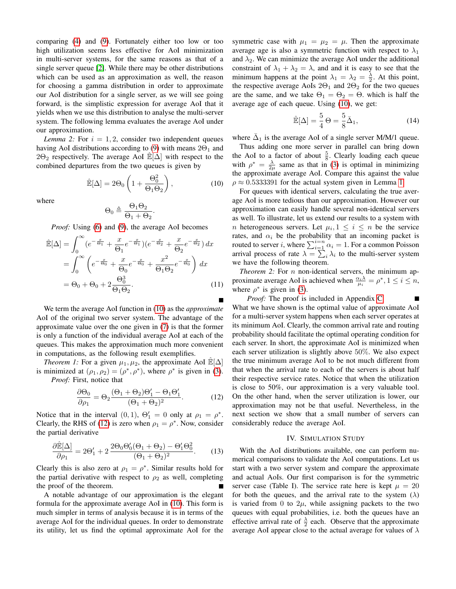comparing [\(4\)](#page-1-2) and [\(9\)](#page-2-2). Fortunately either too low or too high utilization seems less effective for AoI minimization in multi-server systems, for the same reasons as that of a single server queue [\[2\]](#page-4-1). While there may be other distributions which can be used as an approximation as well, the reason for choosing a gamma distribution in order to approximate our AoI distribution for a single server, as we will see going forward, is the simplistic expression for average AoI that it yields when we use this distribution to analyse the multi-server system. The following lemma evaluates the average AoI under our approximation.

*Lemma 2:* For  $i = 1, 2$ , consider two independent queues having AoI distributions according to [\(9\)](#page-2-2) with means  $2\Theta_1$  and  $2\Theta_2$  respectively. The average AoI  $\mathbb{E}[\Delta]$  with respect to the combined departures from the two queues is given by

$$
\hat{\mathbb{E}}[\Delta] = 2\Theta_0 \left(1 + \frac{\Theta_0^2}{\Theta_1 \Theta_2}\right),\tag{10}
$$

where

$$
\Theta_0 \triangleq \frac{\Theta_1 \Theta_2}{\Theta_1 + \Theta_2}.
$$

*Proof:* Using [\(6\)](#page-2-3) and [\(9\)](#page-2-2), the average AoI becomes

$$
\hat{\mathbb{E}}[\Delta] = \int_0^\infty (e^{-\frac{x}{\Theta_1}} + \frac{x}{\Theta_1}e^{-\frac{x}{\Theta_1}})(e^{-\frac{x}{\Theta_2}} + \frac{x}{\Theta_2}e^{-\frac{x}{\Theta_2}}) dx
$$

$$
= \int_0^\infty \left(e^{-\frac{x}{\Theta_0}} + \frac{x}{\Theta_0}e^{-\frac{x}{\Theta_0}} + \frac{x^2}{\Theta_1\Theta_2}e^{-\frac{x}{\Theta_0}}\right) dx
$$

$$
= \Theta_0 + \Theta_0 + 2\frac{\Theta_0^3}{\Theta_1\Theta_2}.
$$
(11)

We term the average AoI function in [\(10\)](#page-3-0) as the *approximate* AoI of the original two server system. The advantage of the approximate value over the one given in [\(7\)](#page-2-0) is that the former is only a function of the individual average AoI at each of the queues. This makes the approximation much more convenient in computations, as the following result exemplifies.

*Theorem 1:* For a given  $\mu_1, \mu_2$ , the approximate AoI  $\mathbb{E}[\Delta]$ is minimized at  $(\rho_1, \rho_2) = (\rho^*, \rho^*)$ , where  $\rho^*$  is given in [\(3\)](#page-1-3). *Proof:* First, notice that

$$
\frac{\partial \Theta_0}{\partial \rho_1} = \Theta_2 \frac{(\Theta_1 + \Theta_2)\Theta_1' - \Theta_1 \Theta_1'}{(\Theta_1 + \Theta_2)^2}.
$$
 (12)

Notice that in the interval  $(0, 1)$ ,  $\Theta'_1 = 0$  only at  $\rho_1 = \rho^*$ . Clearly, the RHS of [\(12\)](#page-3-1) is zero when  $\rho_1 = \rho^*$ . Now, consider the partial derivative

$$
\frac{\partial \hat{\mathbb{E}}[\Delta]}{\partial \rho_1} = 2\Theta_1' + 2 \frac{2\Theta_0 \Theta_0'(\Theta_1 + \Theta_2) - \Theta_1' \Theta_0^2}{(\Theta_1 + \Theta_2)^2}.
$$
 (13)

Clearly this is also zero at  $\rho_1 = \rho^*$ . Similar results hold for the partial derivative with respect to  $\rho_2$  as well, completing the proof of the theorem.

A notable advantage of our approximation is the elegant formula for the approximate average AoI in [\(10\)](#page-3-0). This form is much simpler in terms of analysis because it is in terms of the average AoI for the individual queues. In order to demonstrate its utility, let us find the optimal approximate AoI for the

symmetric case with  $\mu_1 = \mu_2 = \mu$ . Then the approximate average age is also a symmetric function with respect to  $\lambda_1$ and  $\lambda_2$ . We can minimize the average AoI under the additional constraint of  $\lambda_1 + \lambda_2 = \lambda$ , and and it is easy to see that the minimum happens at the point  $\lambda_1 = \lambda_2 = \frac{\lambda}{2}$ . At this point, the respective average AoIs  $2\Theta_1$  and  $2\Theta_2$  for the two queues are the same, and we take  $\Theta_1 = \Theta_2 = \Theta$ , which is half the average age of each queue. Using [\(10\)](#page-3-0), we get:

$$
\hat{\mathbb{E}}[\Delta] = \frac{5}{4} \Theta = \frac{5}{8} \bar{\Delta}_1,\tag{14}
$$

where  $\bar{\Delta}_1$  is the average AoI of a single server M/M/1 queue.

Thus adding one more server in parallel can bring down the AoI to a factor of about  $\frac{5}{8}$ . Clearly loading each queue with  $\rho^* = \frac{\lambda}{2\mu}$  same as that in [\(3\)](#page-1-3) is optimal in minimizing the approximate average AoI. Compare this against the value  $\rho \approx 0.5333391$  for the actual system given in Lemma [1.](#page-2-4)

<span id="page-3-0"></span>For queues with identical servers, calculating the true average AoI is more tedious than our approximation. However our approximation can easily handle several non-identical servers as well. To illustrate, let us extend our results to a system with *n* heterogeneous servers. Let  $\mu_i, 1 \leq i \leq n$  be the service rates, and  $\alpha_i$  be the probability that an incoming packet is routed to server *i*, where  $\sum_{i=1}^{i=n} \alpha_i = 1$ . For a common Poisson arrival process of rate  $\lambda = \sum_i \lambda_i$  to the multi-server system we have the following theorem.

<span id="page-3-2"></span>*Theorem 2:* For *n* non-identical servers, the minimum approximate average AoI is achieved when  $\frac{\alpha_i \lambda}{\mu_i} = \rho^*, 1 \le i \le n$ , where  $\rho^*$  is given in [\(3\)](#page-1-3).

*Proof:* The proof is included in Appendix [C.](#page-5-1) П What we have shown is the optimal value of approximate AoI for a multi-server system happens when each server operates at its minimum AoI. Clearly, the common arrival rate and routing probability should facilitate the optimal operating condition for each server. In short, the approximate AoI is minimized when each server utilization is slightly above 50%. We also expect the true minimum average AoI to be not much different from that when the arrival rate to each of the servers is about half their respective service rates. Notice that when the utilization is close to 50%, our approximation is a very valuable tool. On the other hand, when the server utilization is lower, our approximation may not be that useful. Nevertheless, in the next section we show that a small number of servers can considerably reduce the average AoI.

#### IV. SIMULATION STUDY

<span id="page-3-1"></span>With the AoI distributions available, one can perform numerical comparisons to validate the AoI computations. Let us start with a two server system and compare the approximate and actual AoIs. Our first comparison is for the symmetric server case (Table I). The service rate here is kept  $\mu = 20$ for both the queues, and the arrival rate to the system  $(\lambda)$ is varied from 0 to  $2\mu$ , while assigning packets to the two queues with equal probabilities, i.e. both the queues have an effective arrival rate of  $\frac{\lambda}{2}$  each. Observe that the approximate average AoI appear close to the actual average for values of  $\lambda$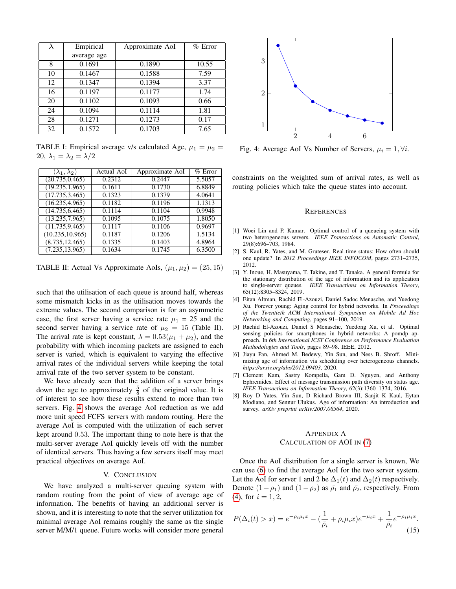|    | Empirical   | Approximate AoI | $%$ Error |
|----|-------------|-----------------|-----------|
|    | average age |                 |           |
| 8  | 0.1691      | 0.1890          | 10.55     |
| 10 | 0.1467      | 0.1588          | 7.59      |
| 12 | 0.1347      | 0.1394          | 3.37      |
| 16 | 0.1197      | 0.1177          | 1.74      |
| 20 | 0.1102      | 0.1093          | 0.66      |
| 24 | 0.1094      | 0.1114          | 1.81      |
| 28 | 0.1271      | 0.1273          | 0.17      |
| 32 | 0.1572      | 0.1703          | 7.65      |

TABLE I: Empirical average v/s calculated Age,  $\mu_1 = \mu_2$  = 20,  $\lambda_1 = \lambda_2 = \lambda/2$ 

| $(\lambda_1, \lambda_2)$ | Actual AoI | Approximate AoI | $%$ Error |
|--------------------------|------------|-----------------|-----------|
| (20.735, 0.465)          | 0.2312     | 0.2447          | 5.5057    |
| (19.235, 1.965)          | 0.1611     | 0.1730          | 6.8849    |
| (17.735, 3.465)          | 0.1323     | 0.1379          | 4.0641    |
| (16.235, 4.965)          | 0.1182     | 0.1196          | 1.1313    |
| (14.735, 6.465)          | 0.1114     | 0.1104          | 0.9948    |
| (13.235, 7.965)          | 0.1095     | 0.1075          | 1.8050    |
| (11.735, 9.465)          | 0.1117     | 0.1106          | 0.9697    |
| (10.235, 10.965)         | 0.1187     | 0.1206          | 1.5134    |
| (8.735, 12.465)          | 0.1335     | 0.1403          | 4.8964    |
| (7.235, 13.965)          | 0.1634     | 0.1745          | 6.3500    |

TABLE II: Actual Vs Approximate AoIs,  $(\mu_1, \mu_2) = (25, 15)$ 

such that the utilisation of each queue is around half, whereas some mismatch kicks in as the utilisation moves towards the extreme values. The second comparison is for an asymmetric case, the first server having a service rate  $\mu_1 = 25$  and the second server having a service rate of  $\mu_2 = 15$  (Table II). The arrival rate is kept constant,  $\lambda = 0.53(\mu_1 + \mu_2)$ , and the probability with which incoming packets are assigned to each server is varied, which is equivalent to varying the effective arrival rates of the individual servers while keeping the total arrival rate of the two server system to be constant.

We have already seen that the addition of a server brings down the age to approximately  $\frac{5}{8}$  of the original value. It is of interest to see how these results extend to more than two servers. Fig. [4](#page-4-9) shows the average AoI reduction as we add more unit speed FCFS servers with random routing. Here the average AoI is computed with the utilization of each server kept around 0.53. The important thing to note here is that the multi-server average AoI quickly levels off with the number of identical servers. Thus having a few servers itself may meet practical objectives on average AoI.

## V. CONCLUSION

We have analyzed a multi-server queuing system with random routing from the point of view of average age of information. The benefits of having an additional server is shown, and it is interesting to note that the server utilization for minimal average AoI remains roughly the same as the single server M/M/1 queue. Future works will consider more general

<span id="page-4-9"></span>

Fig. 4: Average AoI Vs Number of Servers,  $\mu_i = 1, \forall i$ .

constraints on the weighted sum of arrival rates, as well as routing policies which take the queue states into account.

#### REFERENCES

- <span id="page-4-0"></span>[1] Woei Lin and P. Kumar. Optimal control of a queueing system with two heterogeneous servers. *IEEE Transactions on Automatic Control*, 29(8):696–703, 1984.
- <span id="page-4-1"></span>[2] S. Kaul, R. Yates, and M. Gruteser. Real-time status: How often should one update? In *2012 Proceedings IEEE INFOCOM*, pages 2731–2735, 2012.
- <span id="page-4-2"></span>[3] Y. Inoue, H. Masuyama, T. Takine, and T. Tanaka. A general formula for the stationary distribution of the age of information and its application to single-server queues. *IEEE Transactions on Information Theory*, 65(12):8305–8324, 2019.
- <span id="page-4-3"></span>[4] Eitan Altman, Rachid El-Azouzi, Daniel Sadoc Menasche, and Yuedong Xu. Forever young: Aging control for hybrid networks. In *Proceedings of the Twentieth ACM International Symposium on Mobile Ad Hoc Networking and Computing*, pages 91–100, 2019.
- <span id="page-4-4"></span>[5] Rachid El-Azouzi, Daniel S Menasche, Yuedong Xu, et al. Optimal sensing policies for smartphones in hybrid networks: A pomdp approach. In *6th International ICST Conference on Performance Evaluation Methodologies and Tools*, pages 89–98. IEEE, 2012.
- <span id="page-4-5"></span>[6] Jiayu Pan, Ahmed M. Bedewy, Yin Sun, and Ness B. Shroff. Minimizing age of information via scheduling over heterogeneous channels. *https://arxiv.org/abs/2012.09403*, 2020.
- <span id="page-4-6"></span>[7] Clement Kam, Sastry Kompella, Gam D. Nguyen, and Anthony Ephremides. Effect of message transmission path diversity on status age. *IEEE Transactions on Information Theory*, 62(3):1360–1374, 2016.
- <span id="page-4-7"></span>[8] Roy D Yates, Yin Sun, D Richard Brown III, Sanjit K Kaul, Eytan Modiano, and Sennur Ulukus. Age of information: An introduction and survey. *arXiv preprint arXiv:2007.08564*, 2020.

#### <span id="page-4-8"></span>APPENDIX A

## CALCULATION OF AOI IN [\(7\)](#page-2-0)

Once the AoI distribution for a single server is known, We can use [\(6\)](#page-2-3) to find the average AoI for the two server system. Let the AoI for server 1 and 2 be  $\Delta_1(t)$  and  $\Delta_2(t)$  respectively. Denote  $(1-\rho_1)$  and  $(1-\rho_2)$  as  $\bar{\rho_1}$  and  $\bar{\rho_2}$ , respectively. From [\(4\)](#page-1-2), for  $i = 1, 2$ ,

$$
P(\Delta_i(t) > x) = e^{-\bar{\rho_i}\mu_i x} - (\frac{1}{\bar{\rho_i}} + \rho_i \mu_i x)e^{-\mu_i x} + \frac{1}{\bar{\rho_i}}e^{-\rho_i \mu_i x}.
$$
\n(15)